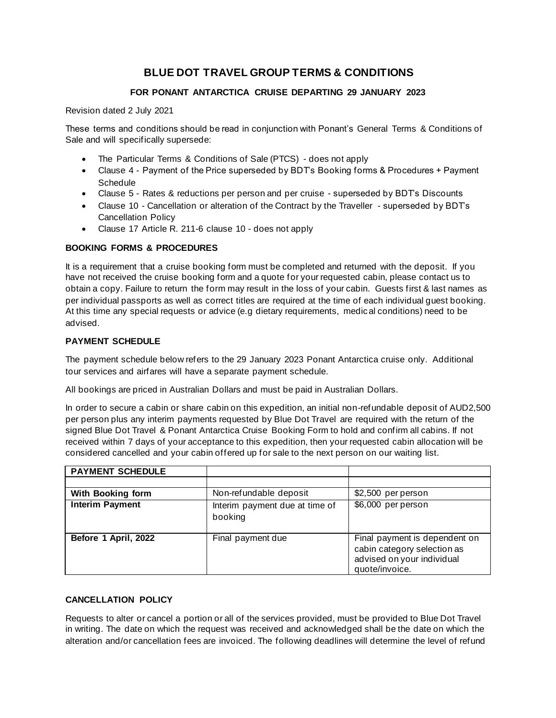# **BLUE DOT TRAVEL GROUP TERMS & CONDITIONS**

## **FOR PONANT ANTARCTICA CRUISE DEPARTING 29 JANUARY 2023**

Revision dated 2 July 2021

These terms and conditions should be read in conjunction with Ponant's General Terms & Conditions of Sale and will specifically supersede:

- The Particular Terms & Conditions of Sale (PTCS) does not apply
- Clause 4 Payment of the Price superseded by BDTs Booking forms & Procedures + Payment Schedule
- Clause 5 Rates & reductions per person and per cruise superseded by BDT's Discounts
- Clause 10 Cancellation or alteration of the Contract by the Traveller superseded by BDTs Cancellation Policy
- Clause 17 Article R. 211-6 clause 10 does not apply

### **BOOKING FORMS & PROCEDURES**

It is a requirement that a cruise booking form must be completed and returned with the deposit. If you have not received the cruise booking form and a quote for your requested cabin, please contact us to obtain a copy. Failure to return the form may result in the loss of your cabin. Guests first & last names as per individual passports as well as correct titles are required at the time of each individual guest booking. At this time any special requests or advice (e.g dietary requirements, medical conditions) need to be advised.

### **PAYMENT SCHEDULE**

The payment schedule below refers to the 29 January 2023 Ponant Antarctica cruise only. Additional tour services and airfares will have a separate payment schedule.

All bookings are priced in Australian Dollars and must be paid in Australian Dollars.

In order to secure a cabin or share cabin on this expedition, an initial non-refundable deposit of AUD2,500 per person plus any interim payments requested by Blue Dot Travel are required with the return of the signed Blue Dot Travel & Ponant Antarctica Cruise Booking Form to hold and confirm all cabins. If not received within 7 days of your acceptance to this expedition, then your requested cabin allocation will be considered cancelled and your cabin offered up for sale to the next person on our waiting list.

| <b>PAYMENT SCHEDULE</b> |                                           |                                                                                                              |
|-------------------------|-------------------------------------------|--------------------------------------------------------------------------------------------------------------|
|                         |                                           |                                                                                                              |
| With Booking form       | Non-refundable deposit                    | \$2,500 per person                                                                                           |
| <b>Interim Payment</b>  | Interim payment due at time of<br>booking | \$6,000 per person                                                                                           |
| Before 1 April, 2022    | Final payment due                         | Final payment is dependent on<br>cabin category selection as<br>advised on your individual<br>quote/invoice. |

## **CANCELLATION POLICY**

Requests to alter or cancel a portion or all of the services provided, must be provided to Blue Dot Travel in writing. The date on which the request was received and acknowledged shall be the date on which the alteration and/or cancellation fees are invoiced. The following deadlines will determine the level of refund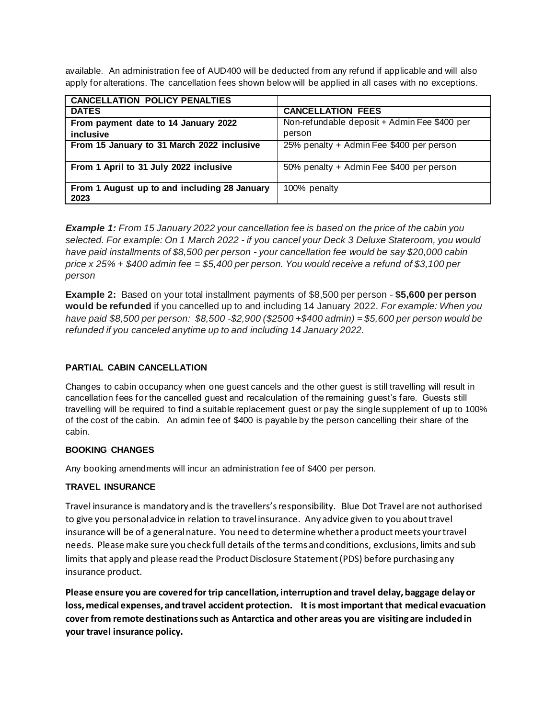available. An administration fee of AUD400 will be deducted from any refund if applicable and will also apply for alterations. The cancellation fees shown below will be applied in all cases with no exceptions.

| <b>CANCELLATION POLICY PENALTIES</b>         |                                              |
|----------------------------------------------|----------------------------------------------|
| <b>DATES</b>                                 | <b>CANCELLATION FEES</b>                     |
| From payment date to 14 January 2022         | Non-refundable deposit + Admin Fee \$400 per |
| inclusive                                    | person                                       |
| From 15 January to 31 March 2022 inclusive   | 25% penalty + Admin Fee \$400 per person     |
|                                              |                                              |
| From 1 April to 31 July 2022 inclusive       | 50% penalty + Admin Fee \$400 per person     |
|                                              |                                              |
| From 1 August up to and including 28 January | 100% penalty                                 |
| 2023                                         |                                              |

*Example 1: From 15 January 2022 your cancellation fee is based on the price of the cabin you selected. For example: On 1 March 2022 - if you cancel your Deck 3 Deluxe Stateroom, you would have paid installments of \$8,500 per person - your cancellation fee would be say \$20,000 cabin price x 25% + \$400 admin fee = \$5,400 per person. You would receive a refund of \$3,100 per person*

**Example 2:** Based on your total installment payments of \$8,500 per person - **\$5,600 per person would be refunded** if you cancelled up to and including 14 January 2022. *For example: When you have paid \$8,500 per person: \$8,500 -\$2,900 (\$2500 +\$400 admin) = \$5,600 per person would be refunded if you canceled anytime up to and including 14 January 2022.*

## **PARTIAL CABIN CANCELLATION**

Changes to cabin occupancy when one guest cancels and the other guest is still travelling will result in cancellation fees for the cancelled guest and recalculation of the remaining guest's fare. Guests still travelling will be required to find a suitable replacement guest or pay the single supplement of up to 100% of the cost of the cabin. An admin fee of \$400 is payable by the person cancelling their share of the cabin.

## **BOOKING CHANGES**

Any booking amendments will incur an administration fee of \$400 per person.

## **TRAVEL INSURANCE**

Travel insurance is mandatory and is the travellers's responsibility. Blue Dot Travel are not authorised to give you personal advice in relation to travel insurance. Any advice given to you about travel insurance will be of a general nature. You need to determine whether a product meets your travel needs. Please make sure you check full details of the terms and conditions, exclusions, limits and sub limits that apply and please read the Product Disclosure Statement (PDS) before purchasing any insurance product.

**Please ensure you are covered for trip cancellation, interruption and travel delay, baggage delay or loss, medical expenses, and travel accident protection. It is most important that medical evacuation cover from remote destinations such as Antarctica and other areas you are visiting are included in your travel insurance policy.**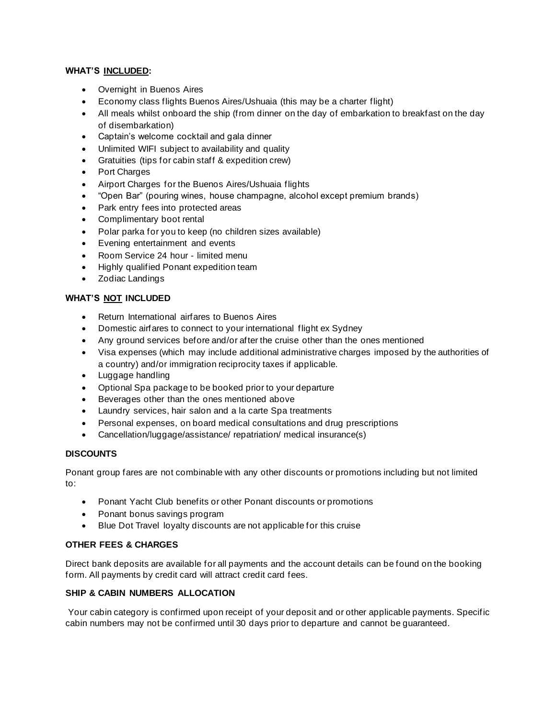#### **WHAT'S INCLUDED:**

- Overnight in Buenos Aires
- Economy class flights Buenos Aires/Ushuaia (this may be a charter flight)
- All meals whilst onboard the ship (from dinner on the day of embarkation to breakfast on the day of disembarkation)
- Captain's welcome cocktail and gala dinner
- Unlimited WIFI subject to availability and quality
- Gratuities (tips for cabin staff & expedition crew)
- Port Charges
- Airport Charges for the Buenos Aires/Ushuaia flights
- "Open Bar" (pouring wines, house champagne, alcohol except premium brands)
- Park entry fees into protected areas
- Complimentary boot rental
- Polar parka for you to keep (no children sizes available)
- Evening entertainment and events
- Room Service 24 hour limited menu
- Highly qualified Ponant expedition team
- Zodiac Landings

## **WHAT'S NOT INCLUDED**

- Return International airfares to Buenos Aires
- Domestic airfares to connect to your international flight ex Sydney
- Any ground services before and/or after the cruise other than the ones mentioned
- Visa expenses (which may include additional administrative charges imposed by the authorities of a country) and/or immigration reciprocity taxes if applicable.
- Luggage handling
- Optional Spa package to be booked prior to your departure
- Beverages other than the ones mentioned above
- Laundry services, hair salon and a la carte Spa treatments
- Personal expenses, on board medical consultations and drug prescriptions
- Cancellation/luggage/assistance/ repatriation/ medical insurance(s)

## **DISCOUNTS**

Ponant group fares are not combinable with any other discounts or promotions including but not limited to:

- Ponant Yacht Club benefits or other Ponant discounts or promotions
- Ponant bonus savings program
- Blue Dot Travel loyalty discounts are not applicable for this cruise

## **OTHER FEES & CHARGES**

Direct bank deposits are available for all payments and the account details can be found on the booking form. All payments by credit card will attract credit card fees.

## **SHIP & CABIN NUMBERS ALLOCATION**

Your cabin category is confirmed upon receipt of your deposit and or other applicable payments. Specific cabin numbers may not be confirmed until 30 days prior to departure and cannot be guaranteed.